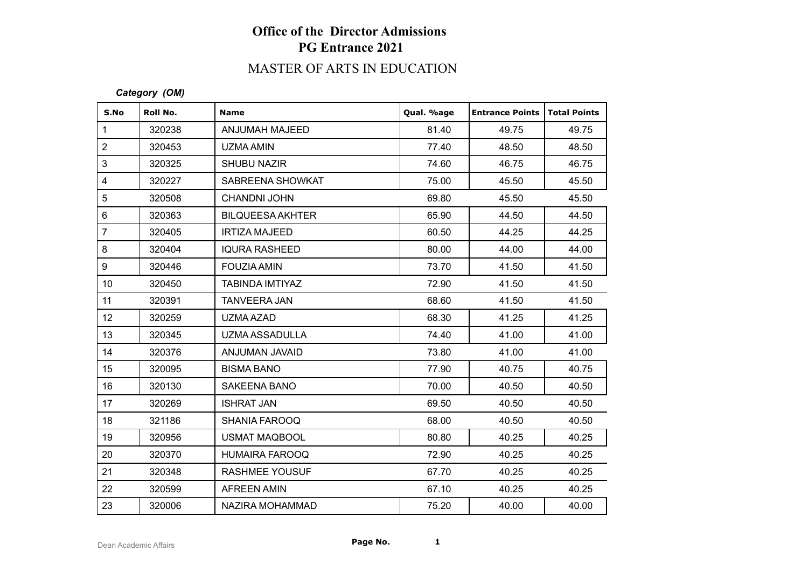# MASTER OF ARTS IN EDUCATION

#### *Category (OM)*

| S.No             | Roll No. | <b>Name</b>             | Qual. %age | <b>Entrance Points</b> | Total Points |
|------------------|----------|-------------------------|------------|------------------------|--------------|
| $\mathbf{1}$     | 320238   | ANJUMAH MAJEED          | 81.40      | 49.75                  | 49.75        |
| $\sqrt{2}$       | 320453   | UZMA AMIN               | 77.40      | 48.50                  | 48.50        |
| 3                | 320325   | <b>SHUBU NAZIR</b>      | 74.60      | 46.75                  | 46.75        |
| $\overline{4}$   | 320227   | SABREENA SHOWKAT        | 75.00      | 45.50                  | 45.50        |
| $\sqrt{5}$       | 320508   | <b>CHANDNI JOHN</b>     | 69.80      | 45.50                  | 45.50        |
| $\,6\,$          | 320363   | <b>BILQUEESA AKHTER</b> | 65.90      | 44.50                  | 44.50        |
| $\overline{7}$   | 320405   | <b>IRTIZA MAJEED</b>    | 60.50      | 44.25                  | 44.25        |
| 8                | 320404   | <b>IQURA RASHEED</b>    | 80.00      | 44.00                  | 44.00        |
| $\boldsymbol{9}$ | 320446   | <b>FOUZIA AMIN</b>      | 73.70      | 41.50                  | 41.50        |
| 10 <sup>1</sup>  | 320450   | TABINDA IMTIYAZ         | 72.90      | 41.50                  | 41.50        |
| 11               | 320391   | <b>TANVEERA JAN</b>     | 68.60      | 41.50                  | 41.50        |
| 12               | 320259   | UZMA AZAD               | 68.30      | 41.25                  | 41.25        |
| 13               | 320345   | UZMA ASSADULLA          | 74.40      | 41.00                  | 41.00        |
| 14               | 320376   | ANJUMAN JAVAID          | 73.80      | 41.00                  | 41.00        |
| 15               | 320095   | <b>BISMA BANO</b>       | 77.90      | 40.75                  | 40.75        |
| 16               | 320130   | SAKEENA BANO            | 70.00      | 40.50                  | 40.50        |
| 17               | 320269   | <b>ISHRAT JAN</b>       | 69.50      | 40.50                  | 40.50        |
| 18               | 321186   | <b>SHANIA FAROOQ</b>    | 68.00      | 40.50                  | 40.50        |
| 19               | 320956   | <b>USMAT MAQBOOL</b>    | 80.80      | 40.25                  | 40.25        |
| 20               | 320370   | <b>HUMAIRA FAROOQ</b>   | 72.90      | 40.25                  | 40.25        |
| 21               | 320348   | <b>RASHMEE YOUSUF</b>   | 67.70      | 40.25                  | 40.25        |
| 22               | 320599   | <b>AFREEN AMIN</b>      | 67.10      | 40.25                  | 40.25        |
| 23               | 320006   | NAZIRA MOHAMMAD         | 75.20      | 40.00                  | 40.00        |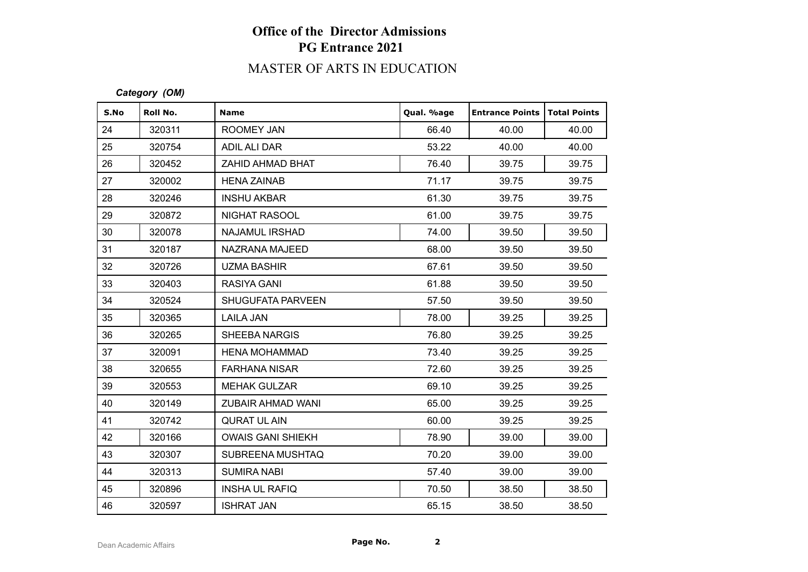# MASTER OF ARTS IN EDUCATION

#### *Category (OM)*

| S.No | Roll No. | <b>Name</b>              | Qual. %age | <b>Entrance Points</b> | <b>Total Points</b> |
|------|----------|--------------------------|------------|------------------------|---------------------|
| 24   | 320311   | ROOMEY JAN               | 66.40      | 40.00                  | 40.00               |
| 25   | 320754   | ADIL ALI DAR             | 53.22      | 40.00                  | 40.00               |
| 26   | 320452   | ZAHID AHMAD BHAT         | 76.40      | 39.75                  | 39.75               |
| 27   | 320002   | <b>HENA ZAINAB</b>       | 71.17      | 39.75                  | 39.75               |
| 28   | 320246   | <b>INSHU AKBAR</b>       | 61.30      | 39.75                  | 39.75               |
| 29   | 320872   | NIGHAT RASOOL            | 61.00      | 39.75                  | 39.75               |
| 30   | 320078   | <b>NAJAMUL IRSHAD</b>    | 74.00      | 39.50                  | 39.50               |
| 31   | 320187   | NAZRANA MAJEED           | 68.00      | 39.50                  | 39.50               |
| 32   | 320726   | <b>UZMA BASHIR</b>       | 67.61      | 39.50                  | 39.50               |
| 33   | 320403   | <b>RASIYA GANI</b>       | 61.88      | 39.50                  | 39.50               |
| 34   | 320524   | <b>SHUGUFATA PARVEEN</b> | 57.50      | 39.50                  | 39.50               |
| 35   | 320365   | <b>LAILA JAN</b>         | 78.00      | 39.25                  | 39.25               |
| 36   | 320265   | <b>SHEEBA NARGIS</b>     | 76.80      | 39.25                  | 39.25               |
| 37   | 320091   | <b>HENA MOHAMMAD</b>     | 73.40      | 39.25                  | 39.25               |
| 38   | 320655   | <b>FARHANA NISAR</b>     | 72.60      | 39.25                  | 39.25               |
| 39   | 320553   | <b>MEHAK GULZAR</b>      | 69.10      | 39.25                  | 39.25               |
| 40   | 320149   | ZUBAIR AHMAD WANI        | 65.00      | 39.25                  | 39.25               |
| 41   | 320742   | <b>QURAT UL AIN</b>      | 60.00      | 39.25                  | 39.25               |
| 42   | 320166   | <b>OWAIS GANI SHIEKH</b> | 78.90      | 39.00                  | 39.00               |
| 43   | 320307   | SUBREENA MUSHTAQ         | 70.20      | 39.00                  | 39.00               |
| 44   | 320313   | <b>SUMIRA NABI</b>       | 57.40      | 39.00                  | 39.00               |
| 45   | 320896   | <b>INSHA UL RAFIQ</b>    | 70.50      | 38.50                  | 38.50               |
| 46   | 320597   | <b>ISHRAT JAN</b>        | 65.15      | 38.50                  | 38.50               |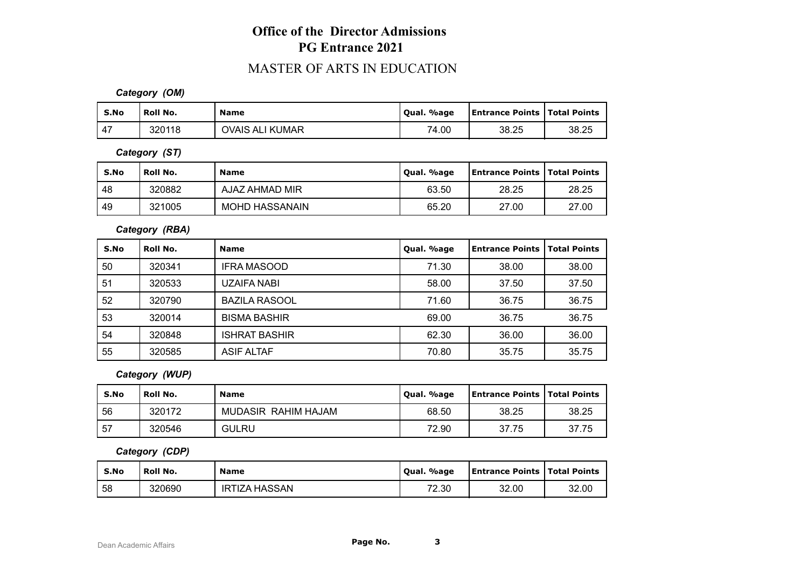### MASTER OF ARTS IN EDUCATION

*Category (OM)*

| S.No | Roll No. | <b>Name</b>     | Qual. %age | <b>Entrance Points   Total Points</b> |       |
|------|----------|-----------------|------------|---------------------------------------|-------|
| 47   | 320118   | OVAIS ALI KUMAR | 74.00      | 38.25                                 | 38.25 |

*Category (ST)*

| S.No | Roll No. | Name                  | Qual. %age | <b>Entrance Points   Total Points</b> |       |
|------|----------|-----------------------|------------|---------------------------------------|-------|
| 48   | 320882   | AJAZ AHMAD MIR        | 63.50      | 28.25                                 | 28.25 |
| 49   | 321005   | <b>MOHD HASSANAIN</b> | 65.20      | 27.00                                 | 27.00 |

*Category (RBA)*

| S.No | Roll No. | <b>Name</b>          | Qual. %age | Entrance Points | <b>Total Points</b> |
|------|----------|----------------------|------------|-----------------|---------------------|
| 50   | 320341   | <b>IFRA MASOOD</b>   | 71.30      | 38.00           | 38.00               |
| 51   | 320533   | UZAIFA NABI          | 58.00      | 37.50           | 37.50               |
| 52   | 320790   | <b>BAZILA RASOOL</b> | 71.60      | 36.75           | 36.75               |
| 53   | 320014   | <b>BISMA BASHIR</b>  | 69.00      | 36.75           | 36.75               |
| -54  | 320848   | <b>ISHRAT BASHIR</b> | 62.30      | 36.00           | 36.00               |
| 55   | 320585   | ASIF ALTAF           | 70.80      | 35.75           | 35.75               |

*Category (WUP)*

| S.No | Roll No. | <b>Name</b>         | Qual. %age | <b>Entrance Points   Total Points  </b> |       |
|------|----------|---------------------|------------|-----------------------------------------|-------|
| 56   | 320172   | MUDASIR RAHIM HAJAM | 68.50      | 38.25                                   | 38.25 |
| . 57 | 320546   | <b>GULRU</b>        | 72.90      | 37.75                                   | 37.75 |

*Category (CDP)*

| S.No | <b>Roll No.</b> | <b>Name</b>   | Qual. %age | <b>Entrance Points   Total Points</b> |       |
|------|-----------------|---------------|------------|---------------------------------------|-------|
| 58   | 320690          | IRTIZA HASSAN | 72.30      | 32.00                                 | 32.00 |